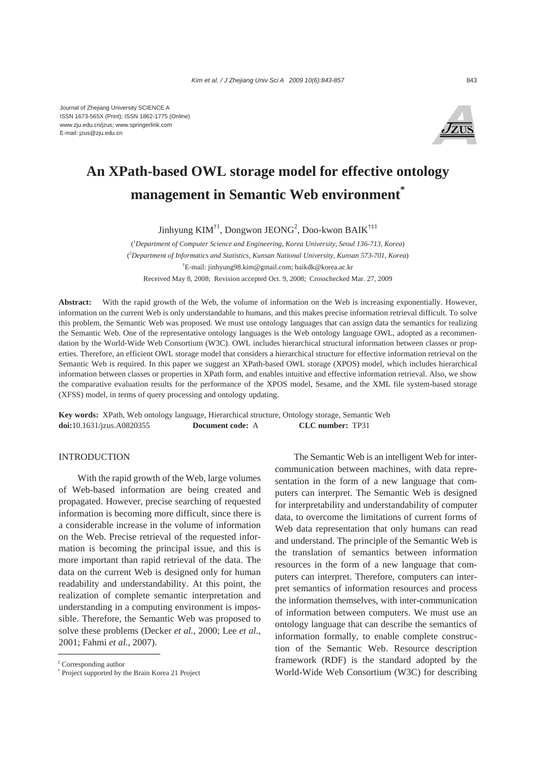

# **An XPath-based OWL storage model for effective ontology management in Semantic Web environment\***

Jinhyung KIM<sup>†1</sup>, Dongwon JEONG<sup>2</sup>, Doo-kwon BAIK<sup>†‡1</sup>

( *1 Department of Computer Science and Engineering, Korea University, Seoul 136-713, Korea*) ( *2 Department of Informatics and Statistics, Kunsan National University, Kunsan 573-701, Korea*) † E-mail: jinhyung98.kim@gmail.com; baikdk@korea.ac.kr Received May 8, 2008; Revision accepted Oct. 9, 2008; Crosschecked Mar. 27, 2009

**Abstract:** With the rapid growth of the Web, the volume of information on the Web is increasing exponentially. However, information on the current Web is only understandable to humans, and this makes precise information retrieval difficult. To solve this problem, the Semantic Web was proposed. We must use ontology languages that can assign data the semantics for realizing the Semantic Web. One of the representative ontology languages is the Web ontology language OWL, adopted as a recommendation by the World-Wide Web Consortium (W3C). OWL includes hierarchical structural information between classes or properties. Therefore, an efficient OWL storage model that considers a hierarchical structure for effective information retrieval on the Semantic Web is required. In this paper we suggest an XPath-based OWL storage (XPOS) model, which includes hierarchical information between classes or properties in XPath form, and enables intuitive and effective information retrieval. Also, we show the comparative evaluation results for the performance of the XPOS model, Sesame, and the XML file system-based storage (XFSS) model, in terms of query processing and ontology updating.

**Key words:** XPath, Web ontology language, Hierarchical structure, Ontology storage, Semantic Web **doi:**10.1631/jzus.A0820355 **Document code:** A **CLC number:** TP31

## **INTRODUCTION**

With the rapid growth of the Web, large volumes of Web-based information are being created and propagated. However, precise searching of requested information is becoming more difficult, since there is a considerable increase in the volume of information on the Web. Precise retrieval of the requested information is becoming the principal issue, and this is more important than rapid retrieval of the data. The data on the current Web is designed only for human readability and understandability. At this point, the realization of complete semantic interpretation and understanding in a computing environment is impossible. Therefore, the Semantic Web was proposed to solve these problems (Decker *et al.*, 2000; Lee *et al*., 2001; Fahmi *et al.*, 2007).

‡ Corresponding author

The Semantic Web is an intelligent Web for intercommunication between machines, with data representation in the form of a new language that computers can interpret. The Semantic Web is designed for interpretability and understandability of computer data, to overcome the limitations of current forms of Web data representation that only humans can read and understand. The principle of the Semantic Web is the translation of semantics between information resources in the form of a new language that computers can interpret. Therefore, computers can interpret semantics of information resources and process the information themselves, with inter-communication of information between computers. We must use an ontology language that can describe the semantics of information formally, to enable complete construction of the Semantic Web. Resource description framework (RDF) is the standard adopted by the World-Wide Web Consortium (W3C) for describing

<sup>\*</sup> Project supported by the Brain Korea 21 Project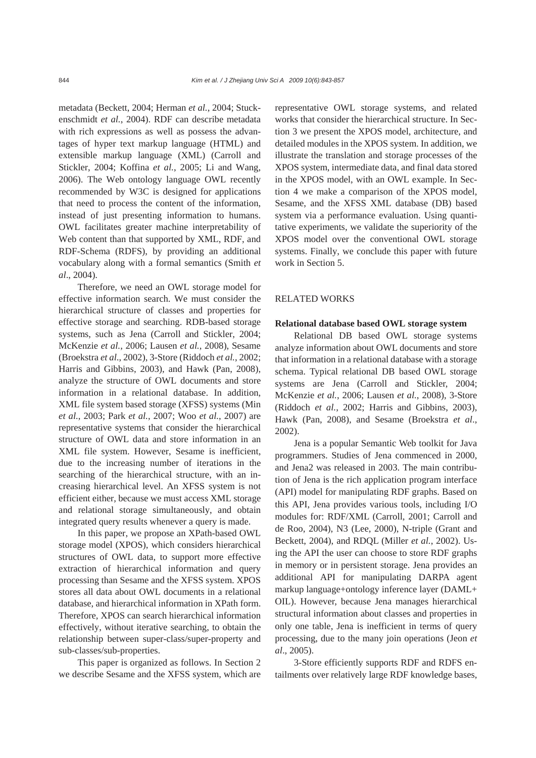metadata (Beckett, 2004; Herman *et al.*, 2004; Stuckenschmidt *et al.*, 2004). RDF can describe metadata with rich expressions as well as possess the advantages of hyper text markup language (HTML) and extensible markup language (XML) (Carroll and Stickler, 2004; Koffina *et al.*, 2005; Li and Wang, 2006). The Web ontology language OWL recently recommended by W3C is designed for applications that need to process the content of the information, instead of just presenting information to humans. OWL facilitates greater machine interpretability of Web content than that supported by XML, RDF, and RDF-Schema (RDFS), by providing an additional vocabulary along with a formal semantics (Smith *et al*., 2004).

Therefore, we need an OWL storage model for effective information search. We must consider the hierarchical structure of classes and properties for effective storage and searching. RDB-based storage systems, such as Jena (Carroll and Stickler, 2004; McKenzie *et al.*, 2006; Lausen *et al.*, 2008), Sesame (Broekstra *et al*., 2002), 3-Store (Riddoch *et al.*, 2002; Harris and Gibbins, 2003), and Hawk (Pan, 2008), analyze the structure of OWL documents and store information in a relational database. In addition, XML file system based storage (XFSS) systems (Min *et al.*, 2003; Park *et al.*, 2007; Woo *et al.*, 2007) are representative systems that consider the hierarchical structure of OWL data and store information in an XML file system. However, Sesame is inefficient, due to the increasing number of iterations in the searching of the hierarchical structure, with an increasing hierarchical level. An XFSS system is not efficient either, because we must access XML storage and relational storage simultaneously, and obtain integrated query results whenever a query is made.

In this paper, we propose an XPath-based OWL storage model (XPOS), which considers hierarchical structures of OWL data, to support more effective extraction of hierarchical information and query processing than Sesame and the XFSS system. XPOS stores all data about OWL documents in a relational database, and hierarchical information in XPath form. Therefore, XPOS can search hierarchical information effectively, without iterative searching, to obtain the relationship between super-class/super-property and sub-classes/sub-properties.

This paper is organized as follows. In Section 2 we describe Sesame and the XFSS system, which are representative OWL storage systems, and related works that consider the hierarchical structure. In Section 3 we present the XPOS model, architecture, and detailed modules in the XPOS system. In addition, we illustrate the translation and storage processes of the XPOS system, intermediate data, and final data stored in the XPOS model, with an OWL example. In Section 4 we make a comparison of the XPOS model, Sesame, and the XFSS XML database (DB) based system via a performance evaluation. Using quantitative experiments, we validate the superiority of the XPOS model over the conventional OWL storage systems. Finally, we conclude this paper with future work in Section 5.

## RELATED WORKS

# **Relational database based OWL storage system**

Relational DB based OWL storage systems analyze information about OWL documents and store that information in a relational database with a storage schema. Typical relational DB based OWL storage systems are Jena (Carroll and Stickler, 2004; McKenzie *et al.*, 2006; Lausen *et al.*, 2008), 3-Store (Riddoch *et al.*, 2002; Harris and Gibbins, 2003), Hawk (Pan, 2008), and Sesame (Broekstra *et al*., 2002).

Jena is a popular Semantic Web toolkit for Java programmers. Studies of Jena commenced in 2000, and Jena2 was released in 2003. The main contribution of Jena is the rich application program interface (API) model for manipulating RDF graphs. Based on this API, Jena provides various tools, including I/O modules for: RDF/XML (Carroll, 2001; Carroll and de Roo, 2004), N3 (Lee, 2000), N-triple (Grant and Beckett, 2004), and RDQL (Miller *et al.*, 2002). Using the API the user can choose to store RDF graphs in memory or in persistent storage. Jena provides an additional API for manipulating DARPA agent markup language+ontology inference layer (DAML+ OIL). However, because Jena manages hierarchical structural information about classes and properties in only one table, Jena is inefficient in terms of query processing, due to the many join operations (Jeon *et al*., 2005).

3-Store efficiently supports RDF and RDFS entailments over relatively large RDF knowledge bases,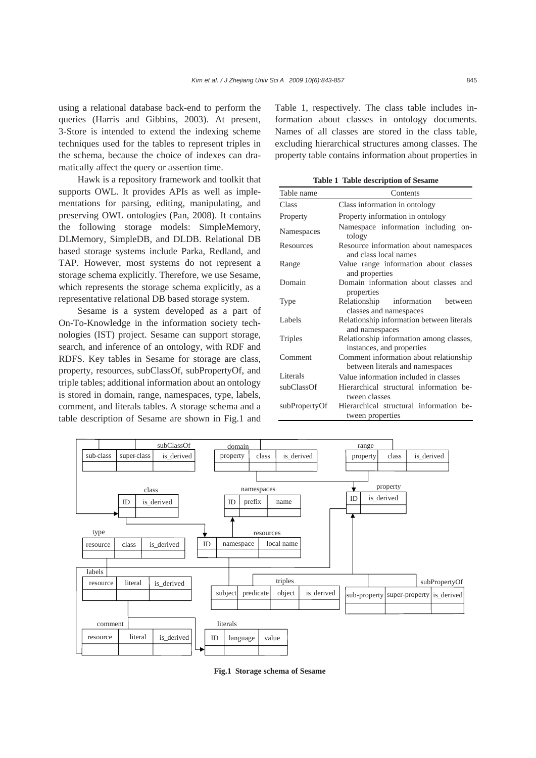using a relational database back-end to perform the queries (Harris and Gibbins, 2003). At present, 3-Store is intended to extend the indexing scheme techniques used for the tables to represent triples in the schema, because the choice of indexes can dramatically affect the query or assertion time.

Hawk is a repository framework and toolkit that supports OWL. It provides APIs as well as implementations for parsing, editing, manipulating, and preserving OWL ontologies (Pan, 2008). It contains the following storage models: SimpleMemory, DLMemory, SimpleDB, and DLDB. Relational DB based storage systems include Parka, Redland, and TAP. However, most systems do not represent a storage schema explicitly. Therefore, we use Sesame, which represents the storage schema explicitly, as a representative relational DB based storage system.

Sesame is a system developed as a part of On-To-Knowledge in the information society technologies (IST) project. Sesame can support storage, search, and inference of an ontology, with RDF and RDFS. Key tables in Sesame for storage are class, property, resources, subClassOf, subPropertyOf, and triple tables; additional information about an ontology is stored in domain, range, namespaces, type, labels, comment, and literals tables. A storage schema and a table description of Sesame are shown in Fig.1 and Table 1, respectively. The class table includes information about classes in ontology documents. Names of all classes are stored in the class table, excluding hierarchical structures among classes. The property table contains information about properties in

**Table 1 Table description of Sesame** 

| Table name     | Contents                                                                  |  |  |  |
|----------------|---------------------------------------------------------------------------|--|--|--|
| Class          | Class information in ontology                                             |  |  |  |
| Property       | Property information in ontology                                          |  |  |  |
| Namespaces     | Namespace information including on-<br>tology                             |  |  |  |
| Resources      | Resource information about namespaces<br>and class local names            |  |  |  |
| Range          | Value range information about classes<br>and properties                   |  |  |  |
| Domain         | Domain information about classes and<br>properties                        |  |  |  |
| Type           | Relationship information<br>between<br>classes and namespaces             |  |  |  |
| Labels         | Relationship information between literals<br>and namespaces               |  |  |  |
| <b>Triples</b> | Relationship information among classes,<br>instances, and properties      |  |  |  |
| Comment        | Comment information about relationship<br>between literals and namespaces |  |  |  |
| Literals       | Value information included in classes                                     |  |  |  |
| subClassOf     | Hierarchical structural information be-<br>tween classes                  |  |  |  |
| subPropertyOf  | Hierarchical structural information be-                                   |  |  |  |
|                | tween properties                                                          |  |  |  |



**Fig.1 Storage schema of Sesame**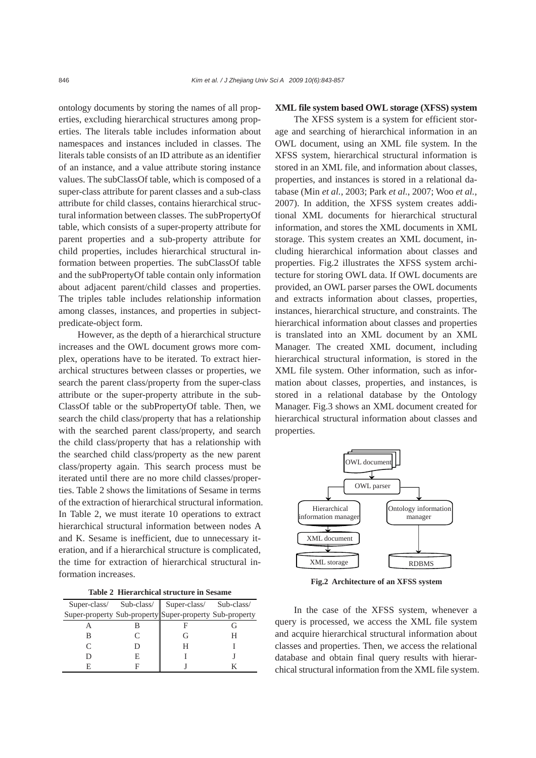ontology documents by storing the names of all properties, excluding hierarchical structures among properties. The literals table includes information about namespaces and instances included in classes. The literals table consists of an ID attribute as an identifier of an instance, and a value attribute storing instance values. The subClassOf table, which is composed of a super-class attribute for parent classes and a sub-class attribute for child classes, contains hierarchical structural information between classes. The subPropertyOf table, which consists of a super-property attribute for parent properties and a sub-property attribute for child properties, includes hierarchical structural information between properties. The subClassOf table and the subPropertyOf table contain only information about adjacent parent/child classes and properties. The triples table includes relationship information among classes, instances, and properties in subjectpredicate-object form.

However, as the depth of a hierarchical structure increases and the OWL document grows more complex, operations have to be iterated. To extract hierarchical structures between classes or properties, we search the parent class/property from the super-class attribute or the super-property attribute in the sub-ClassOf table or the subPropertyOf table. Then, we search the child class/property that has a relationship with the searched parent class/property, and search the child class/property that has a relationship with the searched child class/property as the new parent class/property again. This search process must be iterated until there are no more child classes/properties. Table 2 shows the limitations of Sesame in terms of the extraction of hierarchical structural information. In Table 2, we must iterate 10 operations to extract hierarchical structural information between nodes A and K. Sesame is inefficient, due to unnecessary iteration, and if a hierarchical structure is complicated, the time for extraction of hierarchical structural information increases.

|  | Table 2 Hierarchical structure in Sesame |  |  |  |
|--|------------------------------------------|--|--|--|
|--|------------------------------------------|--|--|--|

| Super-class/ Sub-class/ Super-class/ Sub-class/<br>Super-property Sub-property Sub-property |   |   |  |
|---------------------------------------------------------------------------------------------|---|---|--|
|                                                                                             |   |   |  |
|                                                                                             |   |   |  |
|                                                                                             |   |   |  |
|                                                                                             |   | н |  |
|                                                                                             | н |   |  |
|                                                                                             |   |   |  |

# **XML file system based OWL storage (XFSS) system**

The XFSS system is a system for efficient storage and searching of hierarchical information in an OWL document, using an XML file system. In the XFSS system, hierarchical structural information is stored in an XML file, and information about classes, properties, and instances is stored in a relational database (Min *et al.*, 2003; Park *et al.*, 2007; Woo *et al.*, 2007). In addition, the XFSS system creates additional XML documents for hierarchical structural information, and stores the XML documents in XML storage. This system creates an XML document, including hierarchical information about classes and properties. Fig.2 illustrates the XFSS system architecture for storing OWL data. If OWL documents are provided, an OWL parser parses the OWL documents and extracts information about classes, properties, instances, hierarchical structure, and constraints. The hierarchical information about classes and properties is translated into an XML document by an XML Manager. The created XML document, including hierarchical structural information, is stored in the XML file system. Other information, such as information about classes, properties, and instances, is stored in a relational database by the Ontology Manager. Fig.3 shows an XML document created for hierarchical structural information about classes and properties.



**Fig.2 Architecture of an XFSS system**

In the case of the XFSS system, whenever a query is processed, we access the XML file system and acquire hierarchical structural information about classes and properties. Then, we access the relational database and obtain final query results with hierarchical structural information from the XML file system.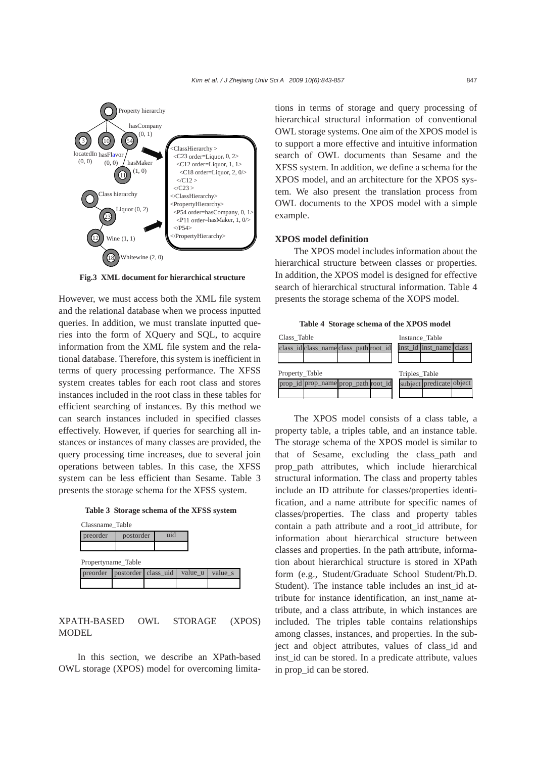

**Fig.3 XML document for hierarchical structure**

However, we must access both the XML file system and the relational database when we process inputted queries. In addition, we must translate inputted queries into the form of XQuery and SQL, to acquire information from the XML file system and the relational database. Therefore, this system is inefficient in terms of query processing performance. The XFSS system creates tables for each root class and stores instances included in the root class in these tables for efficient searching of instances. By this method we can search instances included in specified classes effectively. However, if queries for searching all instances or instances of many classes are provided, the query processing time increases, due to several join operations between tables. In this case, the XFSS system can be less efficient than Sesame. Table 3 presents the storage schema for the XFSS system.

**Table 3 Storage schema of the XFSS system**

| Classname Table    |           |                     |         |         |  |  |
|--------------------|-----------|---------------------|---------|---------|--|--|
| preorder           | postorder | uid                 |         |         |  |  |
|                    |           |                     |         |         |  |  |
| Propertyname_Table |           |                     |         |         |  |  |
| preorder           |           | postorder class_uid | value_u | value s |  |  |
|                    |           |                     |         |         |  |  |

XPATH-BASED OWL STORAGE (XPOS) MODEL.

In this section, we describe an XPath-based OWL storage (XPOS) model for overcoming limitations in terms of storage and query processing of hierarchical structural information of conventional OWL storage systems. One aim of the XPOS model is to support a more effective and intuitive information search of OWL documents than Sesame and the XFSS system. In addition, we define a schema for the XPOS model, and an architecture for the XPOS system. We also present the translation process from OWL documents to the XPOS model with a simple example.

# **XPOS model definition**

The XPOS model includes information about the hierarchical structure between classes or properties. In addition, the XPOS model is designed for effective search of hierarchical structural information. Table 4 presents the storage schema of the XOPS model.

**Table 4 Storage schema of the XPOS model**

| Class Table    |                                      |  | Instance Table |                         |                          |  |
|----------------|--------------------------------------|--|----------------|-------------------------|--------------------------|--|
|                | class_idclass_nameclass_path root_id |  |                | inst_id inst_name class |                          |  |
|                |                                      |  |                |                         |                          |  |
| Property_Table |                                      |  |                | Triples_Table           |                          |  |
|                | prop_id prop_name prop_path root_id  |  |                |                         | subject predicate object |  |
|                |                                      |  |                |                         |                          |  |

The XPOS model consists of a class table, a property table, a triples table, and an instance table. The storage schema of the XPOS model is similar to that of Sesame, excluding the class\_path and prop\_path attributes, which include hierarchical structural information. The class and property tables include an ID attribute for classes/properties identification, and a name attribute for specific names of classes/properties. The class and property tables contain a path attribute and a root\_id attribute, for information about hierarchical structure between classes and properties. In the path attribute, information about hierarchical structure is stored in XPath form (e.g., Student/Graduate School Student/Ph.D. Student). The instance table includes an inst\_id attribute for instance identification, an inst\_name attribute, and a class attribute, in which instances are included. The triples table contains relationships among classes, instances, and properties. In the subject and object attributes, values of class id and inst\_id can be stored. In a predicate attribute, values in prop\_id can be stored.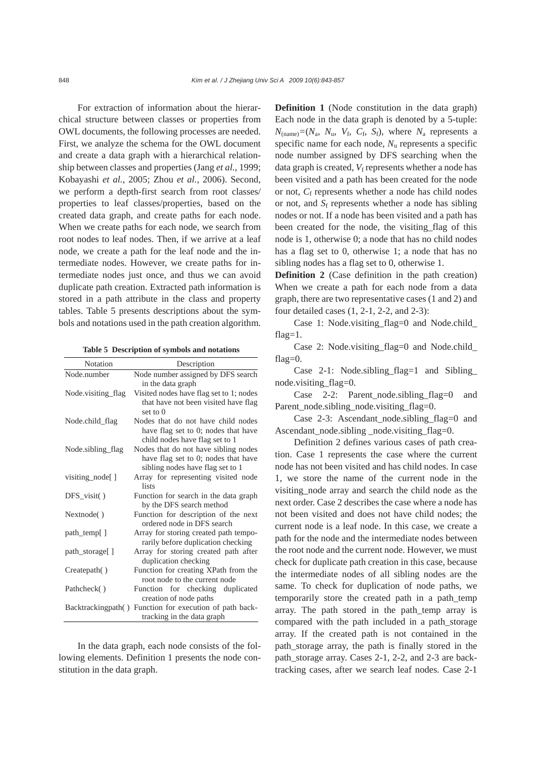For extraction of information about the hierarchical structure between classes or properties from OWL documents, the following processes are needed. First, we analyze the schema for the OWL document and create a data graph with a hierarchical relationship between classes and properties (Jang *et al.*, 1999; Kobayashi *et al.*, 2005; Zhou *et al.*, 2006). Second, we perform a depth-first search from root classes/ properties to leaf classes/properties, based on the created data graph, and create paths for each node. When we create paths for each node, we search from root nodes to leaf nodes. Then, if we arrive at a leaf node, we create a path for the leaf node and the intermediate nodes. However, we create paths for intermediate nodes just once, and thus we can avoid duplicate path creation. Extracted path information is stored in a path attribute in the class and property tables. Table 5 presents descriptions about the symbols and notations used in the path creation algorithm.

**Table 5 Description of symbols and notations** 

| Notation           | Description                                                                                                     |
|--------------------|-----------------------------------------------------------------------------------------------------------------|
| Node.number        | Node number assigned by DFS search<br>in the data graph                                                         |
| Node.visiting_flag | Visited nodes have flag set to 1; nodes<br>that have not been visited have flag<br>set to $0$                   |
| Node.child_flag    | Nodes that do not have child nodes<br>have flag set to 0; nodes that have<br>child nodes have flag set to 1     |
| Node.sibling_flag  | Nodes that do not have sibling nodes<br>have flag set to 0; nodes that have<br>sibling nodes have flag set to 1 |
| visiting_node[]    | Array for representing visited node<br>lists                                                                    |
| $DFS\_visit()$     | Function for search in the data graph<br>by the DFS search method                                               |
| Nextnode()         | Function for description of the next<br>ordered node in DFS search                                              |
| path_temp[]        | Array for storing created path tempo-<br>rarily before duplication checking                                     |
| path_storage[]     | Array for storing created path after<br>duplication checking                                                    |
| Createpath()       | Function for creating XPath from the<br>root node to the current node                                           |
| Pathcheck()        | Function for checking duplicated<br>creation of node paths                                                      |
| Backtrackingpath() | Function for execution of path back-<br>tracking in the data graph                                              |

In the data graph, each node consists of the following elements. Definition 1 presents the node constitution in the data graph.

**Definition 1** (Node constitution in the data graph) Each node in the data graph is denoted by a 5-tuple:  $N_{(\text{name})} = (N_a, N_u, V_f, C_f, S_f)$ , where  $N_a$  represents a specific name for each node, *N*u represents a specific node number assigned by DFS searching when the data graph is created,  $V_f$  represents whether a node has been visited and a path has been created for the node or not,  $C_f$  represents whether a node has child nodes or not, and *S*f represents whether a node has sibling nodes or not. If a node has been visited and a path has been created for the node, the visiting\_flag of this node is 1, otherwise 0; a node that has no child nodes has a flag set to 0, otherwise 1; a node that has no sibling nodes has a flag set to 0, otherwise 1.

**Definition 2** (Case definition in the path creation) When we create a path for each node from a data graph, there are two representative cases (1 and 2) and four detailed cases (1, 2-1, 2-2, and 2-3):

Case 1: Node.visiting flag=0 and Node.child flag= $1$ .

Case 2: Node.visiting\_flag=0 and Node.child\_ flag=0.

Case 2-1: Node.sibling  $flag = 1$  and Sibling node.visiting\_flag=0.

Case 2-2: Parent node.sibling flag=0 and Parent\_node.sibling\_node.visiting\_flag=0.

Case 2-3: Ascendant\_node.sibling\_flag=0 and Ascendant node.sibling node.visiting flag=0.

Definition 2 defines various cases of path creation. Case 1 represents the case where the current node has not been visited and has child nodes. In case 1, we store the name of the current node in the visiting\_node array and search the child node as the next order. Case 2 describes the case where a node has not been visited and does not have child nodes; the current node is a leaf node. In this case, we create a path for the node and the intermediate nodes between the root node and the current node. However, we must check for duplicate path creation in this case, because the intermediate nodes of all sibling nodes are the same. To check for duplication of node paths, we temporarily store the created path in a path\_temp array. The path stored in the path\_temp array is compared with the path included in a path\_storage array. If the created path is not contained in the path storage array, the path is finally stored in the path\_storage array. Cases 2-1, 2-2, and 2-3 are backtracking cases, after we search leaf nodes. Case 2-1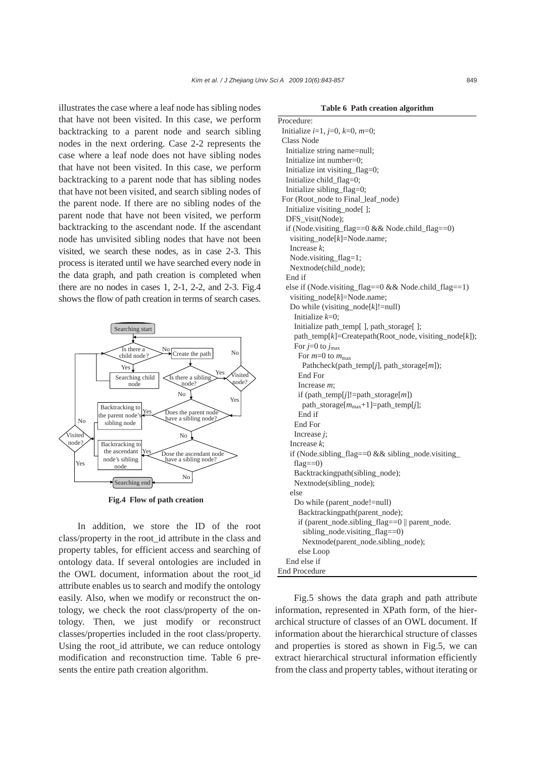illustrates the case where a leaf node has sibling nodes that have not been visited. In this case, we perform backtracking to a parent node and search sibling nodes in the next ordering. Case 2-2 represents the case where a leaf node does not have sibling nodes that have not been visited. In this case, we perform backtracking to a parent node that has sibling nodes that have not been visited, and search sibling nodes of the parent node. If there are no sibling nodes of the parent node that have not been visited, we perform backtracking to the ascendant node. If the ascendant node has unvisited sibling nodes that have not been visited, we search these nodes, as in case 2-3. This process is iterated until we have searched every node in the data graph, and path creation is completed when there are no nodes in cases  $1, 2-1, 2-2,$  and  $2-3$ . Fig.4 shows the flow of path creation in terms of search cases.



**Fig.4 Flow of path creation**

In addition, we store the ID of the root class/property in the root\_id attribute in the class and property tables, for efficient access and searching of ontology data. If several ontologies are included in the OWL document, information about the root\_id attribute enables us to search and modify the ontology easily. Also, when we modify or reconstruct the ontology, we check the root class/property of the ontology. Then, we just modify or reconstruct classes/properties included in the root class/property. Using the root id attribute, we can reduce ontology modification and reconstruction time. Table 6 presents the entire path creation algorithm.

#### **Table 6 Path creation algorithm**

Procedure: Initialize *i*=1, *j*=0, *k*=0, *m*=0; Class Node Initialize string name=null; Initialize int number=0; Initialize int visiting\_flag=0; Initialize child\_flag=0; Initialize sibling\_flag=0; For (Root\_node to Final\_leaf\_node) Initialize visiting\_node[ ]; DFS\_visit(Node); if (Node.visiting\_flag==0 && Node.child\_flag==0) visiting\_node[*k*]=Node.name; Increase *k*; Node.visiting\_flag=1; Nextnode(child\_node); End if else if (Node.visiting\_flag==0 && Node.child\_flag==1) visiting\_node[*k*]=Node.name; Do while (visiting\_node[*k*]!=null) Initialize *k*=0; Initialize path\_temp[ ], path\_storage[ ]; path\_temp[*k*]=Createpath(Root\_node, visiting\_node[*k*]); For  $j=0$  to  $j_{\text{max}}$ For  $m=0$  to  $m_{\text{max}}$  Pathcheck(path\_temp[*j*], path\_storage[*m*]); End For Increase *m*; if (path\_temp[*j*]!=path\_storage[*m*]) path\_storage[*m*max+1]=path\_temp[*j*]; End if End For Increase *j*; Increase *k*; if (Node.sibling\_flag==0 && sibling\_node.visiting\_ flag $==0)$  Backtrackingpath(sibling\_node); Nextnode(sibling\_node); else Do while (parent\_node!=null) Backtrackingpath(parent\_node); if (parent\_node.sibling\_flag==0 || parent\_node. sibling\_node.visiting\_flag==0) Nextnode(parent\_node.sibling\_node); else Loop End else if End Procedure

Fig.5 shows the data graph and path attribute information, represented in XPath form, of the hierarchical structure of classes of an OWL document. If information about the hierarchical structure of classes and properties is stored as shown in Fig.5, we can extract hierarchical structural information efficiently from the class and property tables, without iterating or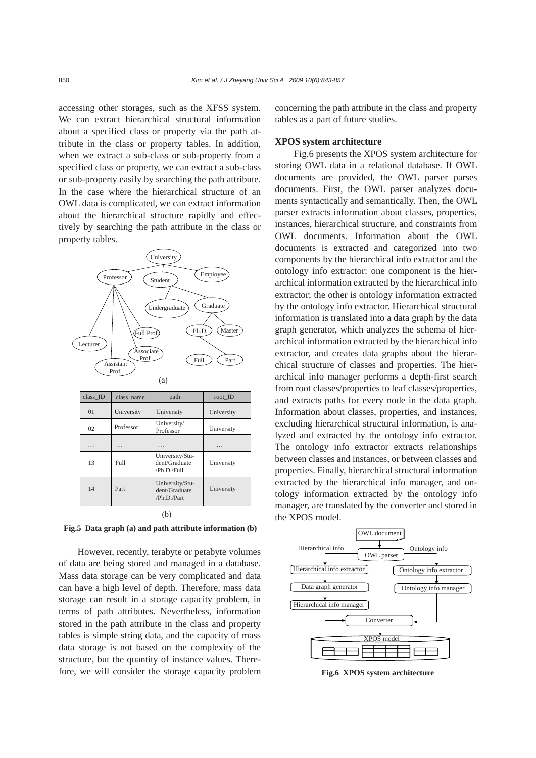accessing other storages, such as the XFSS system. We can extract hierarchical structural information about a specified class or property via the path attribute in the class or property tables. In addition, when we extract a sub-class or sub-property from a specified class or property, we can extract a sub-class or sub-property easily by searching the path attribute. In the case where the hierarchical structure of an OWL data is complicated, we can extract information about the hierarchical structure rapidly and effectively by searching the path attribute in the class or property tables.



| class ID   | class name                            | path                                            | root ID    |  |
|------------|---------------------------------------|-------------------------------------------------|------------|--|
| 01         | University                            | University                                      | University |  |
| 02         | University/<br>Professor<br>Professor |                                                 | University |  |
| $\cdots$   | $\cdots$                              | $\cdots$                                        | $\cdots$   |  |
| 13         | Full                                  | University/Stu-<br>dent/Graduate<br>/Ph.D./Full | University |  |
| 14<br>Part |                                       | University/Stu-<br>dent/Graduate<br>/Ph.D./Part | University |  |
| b          |                                       |                                                 |            |  |

**Fig.5 Data graph (a) and path attribute information (b)**

However, recently, terabyte or petabyte volumes of data are being stored and managed in a database. Mass data storage can be very complicated and data can have a high level of depth. Therefore, mass data storage can result in a storage capacity problem, in terms of path attributes. Nevertheless, information stored in the path attribute in the class and property tables is simple string data, and the capacity of mass data storage is not based on the complexity of the structure, but the quantity of instance values. Therefore, we will consider the storage capacity problem concerning the path attribute in the class and property tables as a part of future studies.

## **XPOS system architecture**

Fig.6 presents the XPOS system architecture for storing OWL data in a relational database. If OWL documents are provided, the OWL parser parses documents. First, the OWL parser analyzes documents syntactically and semantically. Then, the OWL parser extracts information about classes, properties, instances, hierarchical structure, and constraints from OWL documents. Information about the OWL documents is extracted and categorized into two components by the hierarchical info extractor and the ontology info extractor: one component is the hierarchical information extracted by the hierarchical info extractor; the other is ontology information extracted by the ontology info extractor. Hierarchical structural information is translated into a data graph by the data graph generator, which analyzes the schema of hierarchical information extracted by the hierarchical info extractor, and creates data graphs about the hierarchical structure of classes and properties. The hierarchical info manager performs a depth-first search from root classes/properties to leaf classes/properties, and extracts paths for every node in the data graph. Information about classes, properties, and instances, excluding hierarchical structural information, is analyzed and extracted by the ontology info extractor. The ontology info extractor extracts relationships between classes and instances, or between classes and properties. Finally, hierarchical structural information extracted by the hierarchical info manager, and ontology information extracted by the ontology info manager, are translated by the converter and stored in the XPOS model.



**Fig.6 XPOS system architecture**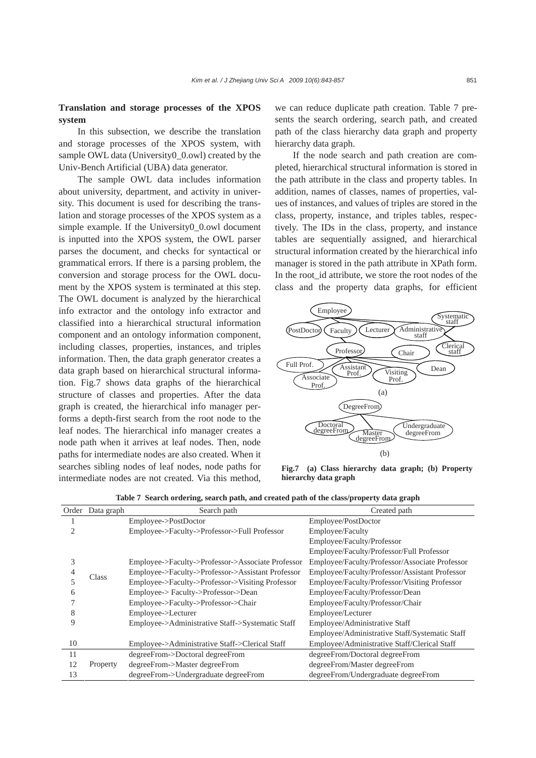# **Translation and storage processes of the XPOS system**

In this subsection, we describe the translation and storage processes of the XPOS system, with sample OWL data (University0 0.owl) created by the Univ-Bench Artificial (UBA) data generator.

The sample OWL data includes information about university, department, and activity in university. This document is used for describing the translation and storage processes of the XPOS system as a simple example. If the University0\_0.owl document is inputted into the XPOS system, the OWL parser parses the document, and checks for syntactical or grammatical errors. If there is a parsing problem, the conversion and storage process for the OWL document by the XPOS system is terminated at this step. The OWL document is analyzed by the hierarchical info extractor and the ontology info extractor and classified into a hierarchical structural information component and an ontology information component, including classes, properties, instances, and triples information. Then, the data graph generator creates a data graph based on hierarchical structural information. Fig.7 shows data graphs of the hierarchical structure of classes and properties. After the data graph is created, the hierarchical info manager performs a depth-first search from the root node to the leaf nodes. The hierarchical info manager creates a node path when it arrives at leaf nodes. Then, node paths for intermediate nodes are also created. When it searches sibling nodes of leaf nodes, node paths for intermediate nodes are not created. Via this method, we can reduce duplicate path creation. Table 7 presents the search ordering, search path, and created path of the class hierarchy data graph and property hierarchy data graph.

If the node search and path creation are completed, hierarchical structural information is stored in the path attribute in the class and property tables. In addition, names of classes, names of properties, values of instances, and values of triples are stored in the class, property, instance, and triples tables, respectively. The IDs in the class, property, and instance tables are sequentially assigned, and hierarchical structural information created by the hierarchical info manager is stored in the path attribute in XPath form. In the root id attribute, we store the root nodes of the class and the property data graphs, for efficient



**Fig.7 (a) Class hierarchy data graph; (b) Property hierarchy data graph**

|    | Order Data graph | Search path                                       | Created path                                   |
|----|------------------|---------------------------------------------------|------------------------------------------------|
|    |                  | Employee->PostDoctor                              | Employee/PostDoctor                            |
|    |                  | Employee->Faculty->Professor->Full Professor      | Employee/Faculty                               |
|    |                  |                                                   | Employee/Faculty/Professor                     |
|    |                  |                                                   | Employee/Faculty/Professor/Full Professor      |
| 3  |                  | Employee->Faculty->Professor->Associate Professor | Employee/Faculty/Professor/Associate Professor |
| 4  |                  | Employee->Faculty->Professor->Assistant Professor | Employee/Faculty/Professor/Assistant Professor |
|    | Class            | Employee->Faculty->Professor->Visiting Professor  | Employee/Faculty/Professor/Visiting Professor  |
| 6  |                  | Employee-> Faculty->Professor->Dean               | Employee/Faculty/Professor/Dean                |
|    |                  | Employee->Faculty->Professor->Chair               | Employee/Faculty/Professor/Chair               |
| 8  |                  | Employee->Lecturer                                | Employee/Lecturer                              |
| 9  |                  | Employee->Administrative Staff->Systematic Staff  | Employee/Administrative Staff                  |
|    |                  |                                                   | Employee/Administrative Staff/Systematic Staff |
| 10 |                  | Employee->Administrative Staff->Clerical Staff    | Employee/Administrative Staff/Clerical Staff   |
| 11 |                  | degreeFrom->Doctoral degreeFrom                   | degreeFrom/Doctoral degreeFrom                 |
| 12 | Property         | degreeFrom->Master degreeFrom                     | degreeFrom/Master degreeFrom                   |
| 13 |                  | degreeFrom->Undergraduate degreeFrom              | degreeFrom/Undergraduate degreeFrom            |

**Table 7 Search ordering, search path, and created path of the class/property data graph**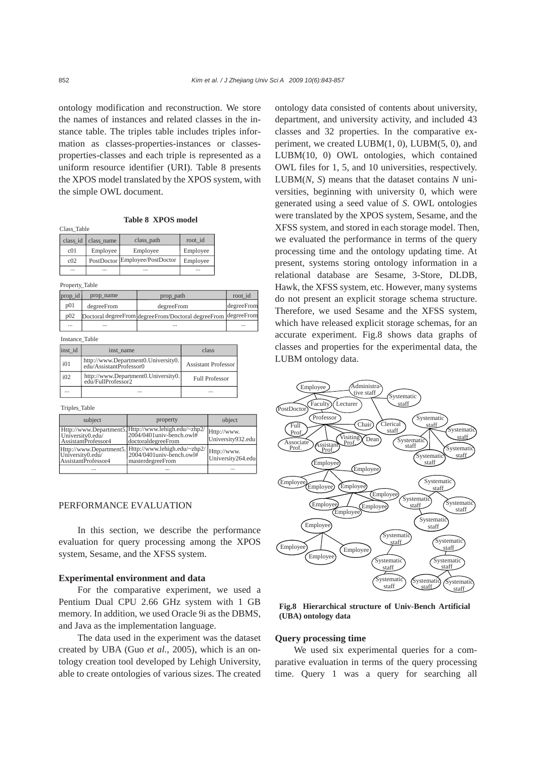ontology modification and reconstruction. We store the names of instances and related classes in the instance table. The triples table includes triples information as classes-properties-instances or classesproperties-classes and each triple is represented as a uniform resource identifier (URI). Table 8 presents the XPOS model translated by the XPOS system, with the simple OWL document.

**Table 8 XPOS model**

| class id<br>class name |                 |          | class path                     | root id  |
|------------------------|-----------------|----------|--------------------------------|----------|
|                        | c <sub>01</sub> | Employee | Employee                       | Employee |
|                        | c02             |          | PostDoctor Employee/PostDoctor | Employee |
|                        | $\cdots$        | $\cdots$ |                                |          |

Property\_Table

Class\_Table

| prop_id         | prop_name  | prop_path                                                     | root id    |
|-----------------|------------|---------------------------------------------------------------|------------|
| D <sub>01</sub> | degreeFrom | degreeFrom                                                    | degreeFrom |
| D02             |            | Doctoral degreeFrom degreeFrom/Doctoral degreeFrom degreeFrom |            |
| $\cdots$        |            |                                                               | $\cdots$   |

Instance\_Table

| inst id | inst name                                                      | class                      |
|---------|----------------------------------------------------------------|----------------------------|
| i01     | http://www.Department0.University0.<br>edu/AssistantProfessor0 | <b>Assistant Professor</b> |
| i02     | http://www.Department0.University0.<br>edu/FullProfessor2      | <b>Full Professor</b>      |
|         |                                                                |                            |

Triples\_Table

| subject                                 | property                                                                                                 | object                           |
|-----------------------------------------|----------------------------------------------------------------------------------------------------------|----------------------------------|
| University0.edu/<br>AssistantProfessor4 | Http://www.Department5.Http://www.lehigh.edu/~zhp2/<br>$2004/0401$ univ-bench.owl#<br>doctoraldegreeFrom | Http://www.<br>University932.edu |
| University0.edu/<br>AssistantProfessor4 | Http://www.Department5. Http://www.lehigh.edu/~zhp2/<br>$2004/0401$ univ-bench.owl#<br>masterdegreeFrom  | Http://www.<br>University264.edu |
|                                         |                                                                                                          |                                  |

## PERFORMANCE EVALUATION

In this section, we describe the performance evaluation for query processing among the XPOS system, Sesame, and the XFSS system.

#### **Experimental environment and data**

For the comparative experiment, we used a Pentium Dual CPU 2.66 GHz system with 1 GB memory. In addition, we used Oracle 9i as the DBMS, and Java as the implementation language.

The data used in the experiment was the dataset created by UBA (Guo *et al.*, 2005), which is an ontology creation tool developed by Lehigh University, able to create ontologies of various sizes. The created

ontology data consisted of contents about university, department, and university activity, and included 43 classes and 32 properties. In the comparative experiment, we created LUBM(1, 0), LUBM(5, 0), and LUBM(10, 0) OWL ontologies, which contained OWL files for 1, 5, and 10 universities, respectively. LUBM(*N*, *S*) means that the dataset contains *N* universities, beginning with university 0, which were generated using a seed value of *S*. OWL ontologies were translated by the XPOS system, Sesame, and the XFSS system, and stored in each storage model. Then, we evaluated the performance in terms of the query processing time and the ontology updating time. At present, systems storing ontology information in a relational database are Sesame, 3-Store, DLDB, Hawk, the XFSS system, etc. However, many systems do not present an explicit storage schema structure. Therefore, we used Sesame and the XFSS system, which have released explicit storage schemas, for an accurate experiment. Fig.8 shows data graphs of classes and properties for the experimental data, the LUBM ontology data.



**Fig.8 Hierarchical structure of Univ-Bench Artificial (UBA) ontology data**

### **Query processing time**

We used six experimental queries for a comparative evaluation in terms of the query processing time. Query 1 was a query for searching all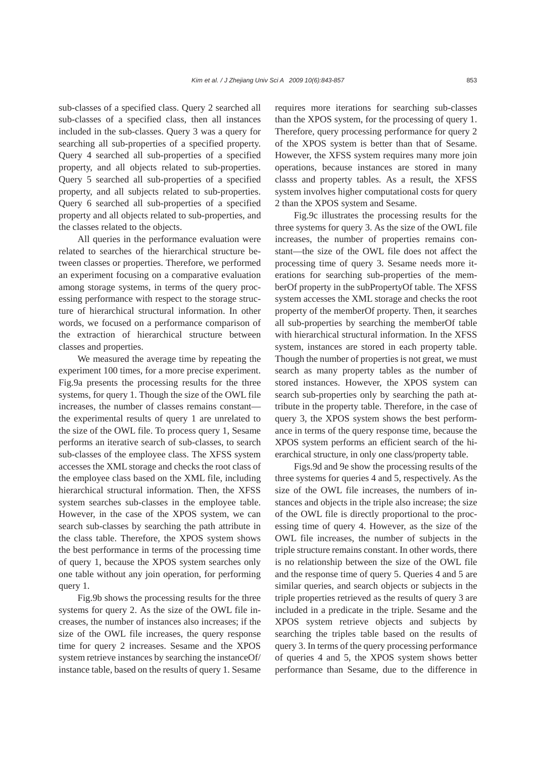sub-classes of a specified class. Query 2 searched all sub-classes of a specified class, then all instances included in the sub-classes. Query 3 was a query for searching all sub-properties of a specified property. Query 4 searched all sub-properties of a specified property, and all objects related to sub-properties. Query 5 searched all sub-properties of a specified property, and all subjects related to sub-properties. Query 6 searched all sub-properties of a specified property and all objects related to sub-properties, and the classes related to the objects.

All queries in the performance evaluation were related to searches of the hierarchical structure between classes or properties. Therefore, we performed an experiment focusing on a comparative evaluation among storage systems, in terms of the query processing performance with respect to the storage structure of hierarchical structural information. In other words, we focused on a performance comparison of the extraction of hierarchical structure between classes and properties.

We measured the average time by repeating the experiment 100 times, for a more precise experiment. Fig.9a presents the processing results for the three systems, for query 1. Though the size of the OWL file increases, the number of classes remains constant the experimental results of query 1 are unrelated to the size of the OWL file. To process query 1, Sesame performs an iterative search of sub-classes, to search sub-classes of the employee class. The XFSS system accesses the XML storage and checks the root class of the employee class based on the XML file, including hierarchical structural information. Then, the XFSS system searches sub-classes in the employee table. However, in the case of the XPOS system, we can search sub-classes by searching the path attribute in the class table. Therefore, the XPOS system shows the best performance in terms of the processing time of query 1, because the XPOS system searches only one table without any join operation, for performing query 1.

Fig.9b shows the processing results for the three systems for query 2. As the size of the OWL file increases, the number of instances also increases; if the size of the OWL file increases, the query response time for query 2 increases. Sesame and the XPOS system retrieve instances by searching the instanceOf/ instance table, based on the results of query 1. Sesame

requires more iterations for searching sub-classes than the XPOS system, for the processing of query 1. Therefore, query processing performance for query 2 of the XPOS system is better than that of Sesame. However, the XFSS system requires many more join operations, because instances are stored in many classs and property tables. As a result, the XFSS system involves higher computational costs for query 2 than the XPOS system and Sesame.

Fig.9c illustrates the processing results for the three systems for query 3. As the size of the OWL file increases, the number of properties remains constant—the size of the OWL file does not affect the processing time of query 3. Sesame needs more iterations for searching sub-properties of the memberOf property in the subPropertyOf table. The XFSS system accesses the XML storage and checks the root property of the memberOf property. Then, it searches all sub-properties by searching the memberOf table with hierarchical structural information. In the XFSS system, instances are stored in each property table. Though the number of properties is not great, we must search as many property tables as the number of stored instances. However, the XPOS system can search sub-properties only by searching the path attribute in the property table. Therefore, in the case of query 3, the XPOS system shows the best performance in terms of the query response time, because the XPOS system performs an efficient search of the hierarchical structure, in only one class/property table.

Figs.9d and 9e show the processing results of the three systems for queries 4 and 5, respectively. As the size of the OWL file increases, the numbers of instances and objects in the triple also increase; the size of the OWL file is directly proportional to the processing time of query 4. However, as the size of the OWL file increases, the number of subjects in the triple structure remains constant. In other words, there is no relationship between the size of the OWL file and the response time of query 5. Queries 4 and 5 are similar queries, and search objects or subjects in the triple properties retrieved as the results of query 3 are included in a predicate in the triple. Sesame and the XPOS system retrieve objects and subjects by searching the triples table based on the results of query 3. In terms of the query processing performance of queries 4 and 5, the XPOS system shows better performance than Sesame, due to the difference in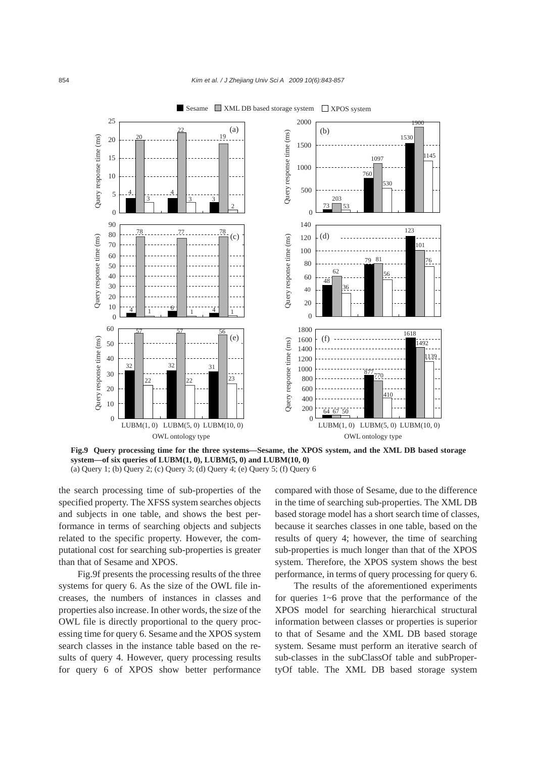

Sesame  $\Box$  XML DB based storage system  $\Box$  XPOS system

**Fig.9 Query processing time for the three systems—Sesame, the XPOS system, and the XML DB based storage system—of six queries of LUBM(1, 0), LUBM(5, 0) and LUBM(10, 0)**  (a) Query 1; (b) Query 2; (c) Query 3; (d) Query 4; (e) Query 5; (f) Query 6

the search processing time of sub-properties of the specified property. The XFSS system searches objects and subjects in one table, and shows the best performance in terms of searching objects and subjects related to the specific property. However, the computational cost for searching sub-properties is greater than that of Sesame and XPOS.

Fig.9f presents the processing results of the three systems for query 6. As the size of the OWL file increases, the numbers of instances in classes and properties also increase. In other words, the size of the OWL file is directly proportional to the query processing time for query 6. Sesame and the XPOS system search classes in the instance table based on the results of query 4. However, query processing results for query 6 of XPOS show better performance

compared with those of Sesame, due to the difference in the time of searching sub-properties. The XML DB based storage model has a short search time of classes, because it searches classes in one table, based on the results of query 4; however, the time of searching sub-properties is much longer than that of the XPOS system. Therefore, the XPOS system shows the best performance, in terms of query processing for query 6.

The results of the aforementioned experiments for queries 1~6 prove that the performance of the XPOS model for searching hierarchical structural information between classes or properties is superior to that of Sesame and the XML DB based storage system. Sesame must perform an iterative search of sub-classes in the subClassOf table and subPropertyOf table. The XML DB based storage system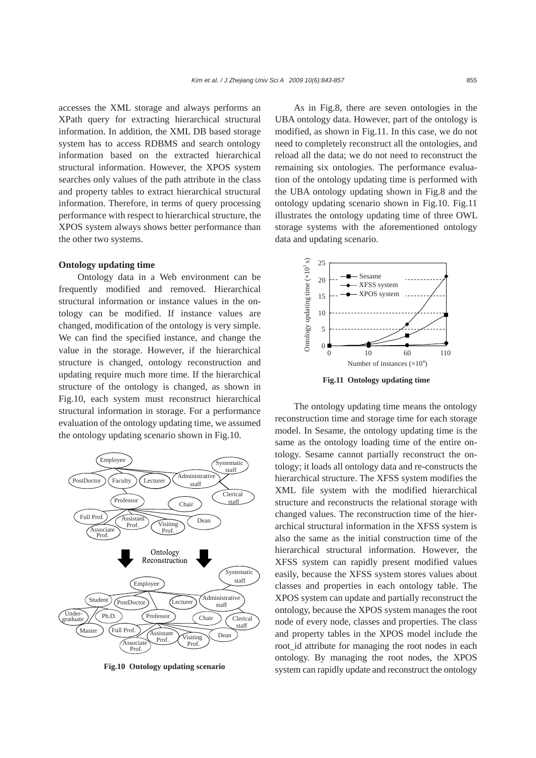accesses the XML storage and always performs an XPath query for extracting hierarchical structural information. In addition, the XML DB based storage system has to access RDBMS and search ontology information based on the extracted hierarchical structural information. However, the XPOS system searches only values of the path attribute in the class and property tables to extract hierarchical structural information. Therefore, in terms of query processing performance with respect to hierarchical structure, the XPOS system always shows better performance than the other two systems.

#### **Ontology updating time**

Ontology data in a Web environment can be frequently modified and removed. Hierarchical structural information or instance values in the ontology can be modified. If instance values are changed, modification of the ontology is very simple. We can find the specified instance, and change the value in the storage. However, if the hierarchical structure is changed, ontology reconstruction and updating require much more time. If the hierarchical structure of the ontology is changed, as shown in Fig.10, each system must reconstruct hierarchical structural information in storage. For a performance evaluation of the ontology updating time, we assumed the ontology updating scenario shown in Fig.10.



**Fig.10 Ontology updating scenario**

As in Fig.8, there are seven ontologies in the UBA ontology data. However, part of the ontology is modified, as shown in Fig.11. In this case, we do not need to completely reconstruct all the ontologies, and reload all the data; we do not need to reconstruct the remaining six ontologies. The performance evaluation of the ontology updating time is performed with the UBA ontology updating shown in Fig.8 and the ontology updating scenario shown in Fig.10. Fig.11 illustrates the ontology updating time of three OWL storage systems with the aforementioned ontology data and updating scenario.



The ontology updating time means the ontology reconstruction time and storage time for each storage model. In Sesame, the ontology updating time is the same as the ontology loading time of the entire ontology. Sesame cannot partially reconstruct the ontology; it loads all ontology data and re-constructs the hierarchical structure. The XFSS system modifies the XML file system with the modified hierarchical structure and reconstructs the relational storage with changed values. The reconstruction time of the hierarchical structural information in the XFSS system is also the same as the initial construction time of the hierarchical structural information. However, the XFSS system can rapidly present modified values easily, because the XFSS system stores values about classes and properties in each ontology table. The XPOS system can update and partially reconstruct the ontology, because the XPOS system manages the root node of every node, classes and properties. The class and property tables in the XPOS model include the root id attribute for managing the root nodes in each ontology. By managing the root nodes, the XPOS system can rapidly update and reconstruct the ontology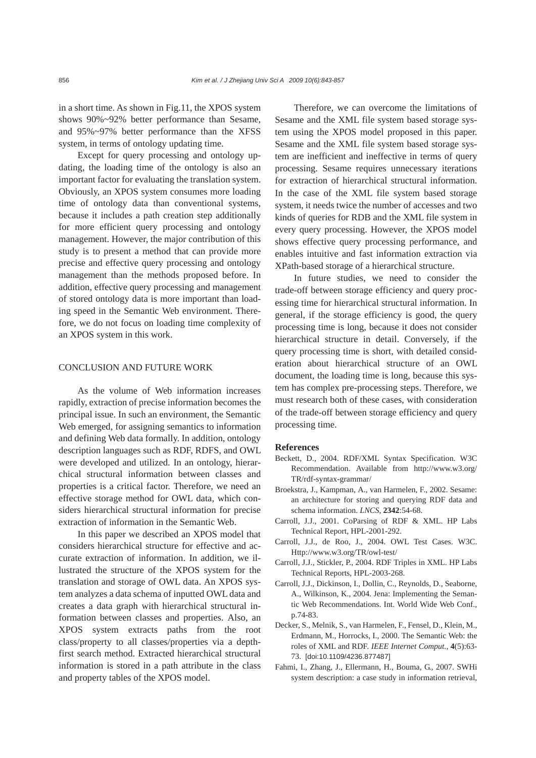in a short time. As shown in Fig.11, the XPOS system shows 90%~92% better performance than Sesame, and 95%~97% better performance than the XFSS system, in terms of ontology updating time.

Except for query processing and ontology updating, the loading time of the ontology is also an important factor for evaluating the translation system. Obviously, an XPOS system consumes more loading time of ontology data than conventional systems, because it includes a path creation step additionally for more efficient query processing and ontology management. However, the major contribution of this study is to present a method that can provide more precise and effective query processing and ontology management than the methods proposed before. In addition, effective query processing and management of stored ontology data is more important than loading speed in the Semantic Web environment. Therefore, we do not focus on loading time complexity of an XPOS system in this work.

## CONCLUSION AND FUTURE WORK

As the volume of Web information increases rapidly, extraction of precise information becomes the principal issue. In such an environment, the Semantic Web emerged, for assigning semantics to information and defining Web data formally. In addition, ontology description languages such as RDF, RDFS, and OWL were developed and utilized. In an ontology, hierarchical structural information between classes and properties is a critical factor. Therefore, we need an effective storage method for OWL data, which considers hierarchical structural information for precise extraction of information in the Semantic Web.

In this paper we described an XPOS model that considers hierarchical structure for effective and accurate extraction of information. In addition, we illustrated the structure of the XPOS system for the translation and storage of OWL data. An XPOS system analyzes a data schema of inputted OWL data and creates a data graph with hierarchical structural information between classes and properties. Also, an XPOS system extracts paths from the root class/property to all classes/properties via a depthfirst search method. Extracted hierarchical structural information is stored in a path attribute in the class and property tables of the XPOS model.

Therefore, we can overcome the limitations of Sesame and the XML file system based storage system using the XPOS model proposed in this paper. Sesame and the XML file system based storage system are inefficient and ineffective in terms of query processing. Sesame requires unnecessary iterations for extraction of hierarchical structural information. In the case of the XML file system based storage system, it needs twice the number of accesses and two kinds of queries for RDB and the XML file system in every query processing. However, the XPOS model shows effective query processing performance, and enables intuitive and fast information extraction via XPath-based storage of a hierarchical structure.

In future studies, we need to consider the trade-off between storage efficiency and query processing time for hierarchical structural information. In general, if the storage efficiency is good, the query processing time is long, because it does not consider hierarchical structure in detail. Conversely, if the query processing time is short, with detailed consideration about hierarchical structure of an OWL document, the loading time is long, because this system has complex pre-processing steps. Therefore, we must research both of these cases, with consideration of the trade-off between storage efficiency and query processing time.

#### **References**

- Beckett, D., 2004. RDF/XML Syntax Specification. W3C Recommendation. Available from http://www.w3.org/ TR/rdf-syntax-grammar/
- Broekstra, J., Kampman, A., van Harmelen, F., 2002. Sesame: an architecture for storing and querying RDF data and schema information. *LNCS*, **2342**:54-68.
- Carroll, J.J., 2001. CoParsing of RDF & XML. HP Labs Technical Report, HPL-2001-292.
- Carroll, J.J., de Roo, J., 2004. OWL Test Cases. W3C. Http://www.w3.org/TR/owl-test/
- Carroll, J.J., Stickler, P., 2004. RDF Triples in XML. HP Labs Technical Reports, HPL-2003-268.
- Carroll, J.J., Dickinson, I., Dollin, C., Reynolds, D., Seaborne, A., Wilkinson, K., 2004. Jena: Implementing the Semantic Web Recommendations. Int. World Wide Web Conf., p.74-83.
- Decker, S., Melnik, S., van Harmelen, F., Fensel, D., Klein, M., Erdmann, M., Horrocks, I., 2000. The Semantic Web: the roles of XML and RDF. *IEEE Internet Comput.*, **4**(5):63- 73. [doi:10.1109/4236.877487]
- Fahmi, I., Zhang, J., Ellermann, H., Bouma, G., 2007. SWHi system description: a case study in information retrieval,